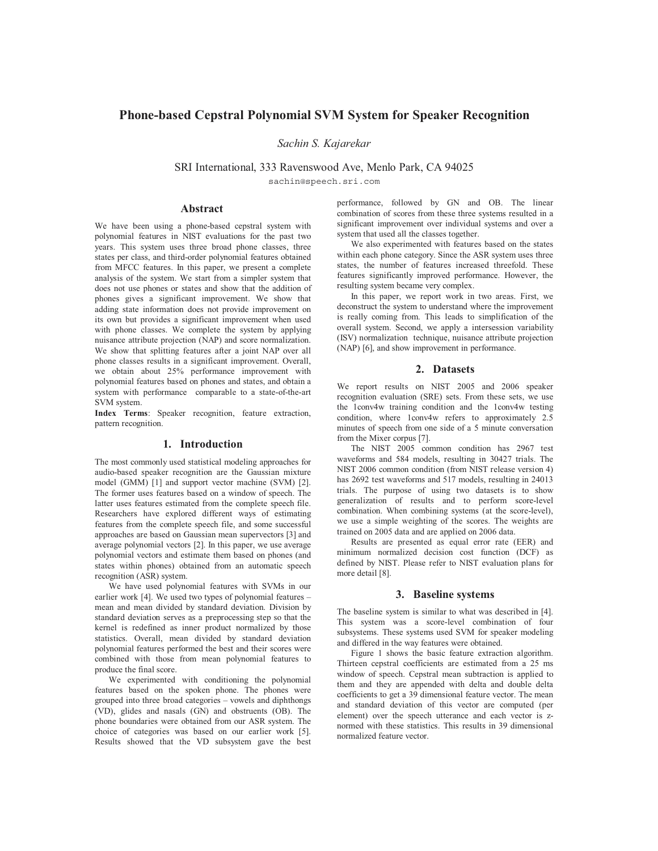# **Phone-based Cepstral Polynomial SVM System for Speaker Recognition**

*Sachin S. Kajarekar*

SRI International, 333 Ravenswood Ave, Menlo Park, CA 94025

sachin@speech.sri.com

## **Abstract**

We have been using a phone-based cepstral system with polynomial features in NIST evaluations for the past two years. This system uses three broad phone classes, three states per class, and third-order polynomial features obtained from MFCC features. In this paper, we present a complete analysis of the system. We start from a simpler system that does not use phones or states and show that the addition of phones gives a significant improvement. We show that adding state information does not provide improvement on its own but provides a significant improvement when used with phone classes. We complete the system by applying nuisance attribute projection (NAP) and score normalization. We show that splitting features after a joint NAP over all phone classes results in a significant improvement. Overall, we obtain about 25% performance improvement with polynomial features based on phones and states, and obtain a system with performance comparable to a state-of-the-art SVM system.

**Index Terms**: Speaker recognition, feature extraction, pattern recognition.

## **1. Introduction**

The most commonly used statistical modeling approaches for audio-based speaker recognition are the Gaussian mixture model (GMM) [1] and support vector machine (SVM) [2]. The former uses features based on a window of speech. The latter uses features estimated from the complete speech file. Researchers have explored different ways of estimating features from the complete speech file, and some successful approaches are based on Gaussian mean supervectors [3] and average polynomial vectors [2]. In this paper, we use average polynomial vectors and estimate them based on phones (and states within phones) obtained from an automatic speech recognition (ASR) system.

We have used polynomial features with SVMs in our earlier work [4]. We used two types of polynomial features – mean and mean divided by standard deviation. Division by standard deviation serves as a preprocessing step so that the kernel is redefined as inner product normalized by those statistics. Overall, mean divided by standard deviation polynomial features performed the best and their scores were combined with those from mean polynomial features to produce the final score.

We experimented with conditioning the polynomial features based on the spoken phone. The phones were grouped into three broad categories – vowels and diphthongs (VD), glides and nasals (GN) and obstruents (OB). The phone boundaries were obtained from our ASR system. The choice of categories was based on our earlier work [5]. Results showed that the VD subsystem gave the best

performance, followed by GN and OB. The linear combination of scores from these three systems resulted in a significant improvement over individual systems and over a system that used all the classes together.

We also experimented with features based on the states within each phone category. Since the ASR system uses three states, the number of features increased threefold. These features significantly improved performance. However, the resulting system became very complex.

In this paper, we report work in two areas. First, we deconstruct the system to understand where the improvement is really coming from. This leads to simplification of the overall system. Second, we apply a intersession variability (ISV) normalization technique, nuisance attribute projection (NAP) [6], and show improvement in performance.

### **2. Datasets**

We report results on NIST 2005 and 2006 speaker recognition evaluation (SRE) sets. From these sets, we use the 1conv4w training condition and the 1conv4w testing condition, where 1conv4w refers to approximately 2.5 minutes of speech from one side of a 5 minute conversation from the Mixer corpus [7].

The NIST 2005 common condition has 2967 test waveforms and 584 models, resulting in 30427 trials. The NIST 2006 common condition (from NIST release version 4) has 2692 test waveforms and 517 models, resulting in 24013 trials. The purpose of using two datasets is to show generalization of results and to perform score-level combination. When combining systems (at the score-level), we use a simple weighting of the scores. The weights are trained on 2005 data and are applied on 2006 data.

Results are presented as equal error rate (EER) and minimum normalized decision cost function (DCF) as defined by NIST. Please refer to NIST evaluation plans for more detail [8].

#### **3. Baseline systems**

The baseline system is similar to what was described in [4]. This system was a score-level combination of four subsystems. These systems used SVM for speaker modeling and differed in the way features were obtained.

Figure 1 shows the basic feature extraction algorithm. Thirteen cepstral coefficients are estimated from a 25 ms window of speech. Cepstral mean subtraction is applied to them and they are appended with delta and double delta coefficients to get a 39 dimensional feature vector. The mean and standard deviation of this vector are computed (per element) over the speech utterance and each vector is znormed with these statistics. This results in 39 dimensional normalized feature vector.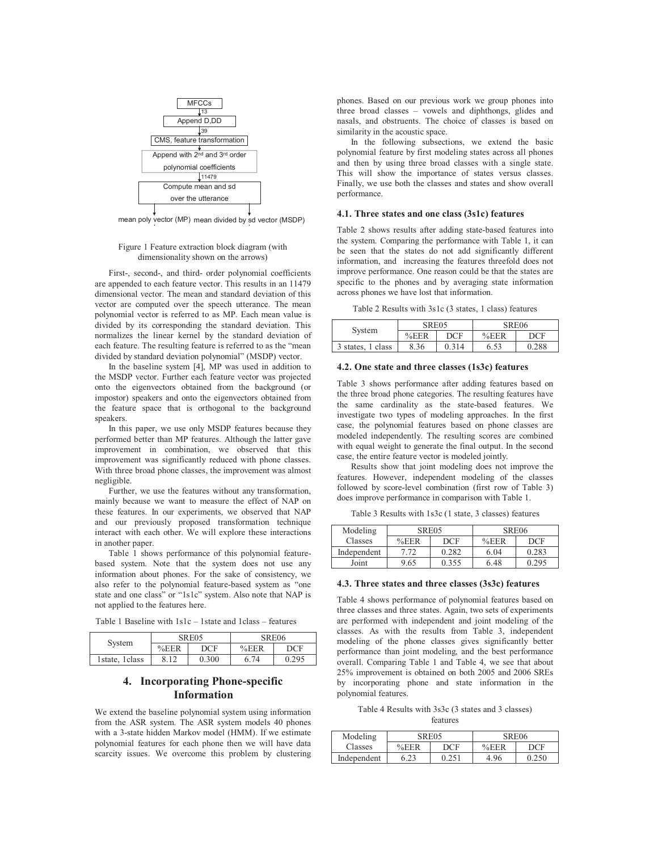

mean poly vector (MP) mean divided by sd vector (MSDP)

#### Figure 1 Feature extraction block diagram (with dimensionality shown on the arrows)

First-, second-, and third- order polynomial coefficients are appended to each feature vector. This results in an 11479 dimensional vector. The mean and standard deviation of this vector are computed over the speech utterance. The mean polynomial vector is referred to as MP. Each mean value is divided by its corresponding the standard deviation. This normalizes the linear kernel by the standard deviation of each feature. The resulting feature is referred to as the "mean divided by standard deviation polynomial" (MSDP) vector.

In the baseline system [4], MP was used in addition to the MSDP vector. Further each feature vector was projected onto the eigenvectors obtained from the background (or impostor) speakers and onto the eigenvectors obtained from the feature space that is orthogonal to the background speakers.

In this paper, we use only MSDP features because they performed better than MP features. Although the latter gave improvement in combination, we observed that this improvement was significantly reduced with phone classes. With three broad phone classes, the improvement was almost negligible.

Further, we use the features without any transformation, mainly because we want to measure the effect of NAP on these features. In our experiments, we observed that NAP and our previously proposed transformation technique interact with each other. We will explore these interactions in another paper.

Table 1 shows performance of this polynomial featurebased system. Note that the system does not use any information about phones. For the sake of consistency, we also refer to the polynomial feature-based system as "one state and one class" or "1s1c" system. Also note that NAP is not applied to the features here.

Table 1 Baseline with 1s1c – 1state and 1class – features

| System           | <b>SRE05</b> |       | SRE <sub>06</sub> |       |  |
|------------------|--------------|-------|-------------------|-------|--|
|                  | %EER         | DCF   | %EER              | DCF   |  |
| 1 state, 1 class | o            | 0.300 | 6.74              | 0.295 |  |

## **4. Incorporating Phone-specific Information**

We extend the baseline polynomial system using information from the ASR system. The ASR system models 40 phones with a 3-state hidden Markov model (HMM). If we estimate polynomial features for each phone then we will have data scarcity issues. We overcome this problem by clustering phones. Based on our previous work we group phones into three broad classes – vowels and diphthongs, glides and nasals, and obstruents. The choice of classes is based on similarity in the acoustic space.

In the following subsections, we extend the basic polynomial feature by first modeling states across all phones and then by using three broad classes with a single state. This will show the importance of states versus classes. Finally, we use both the classes and states and show overall performance.

## **4.1. Three states and one class (3s1c) features**

Table 2 shows results after adding state-based features into the system. Comparing the performance with Table 1, it can be seen that the states do not add significantly different information, and increasing the features threefold does not improve performance. One reason could be that the states are specific to the phones and by averaging state information across phones we have lost that information.

Table 2 Results with 3s1c (3 states, 1 class) features

| System            | SRE05 |            | SRE06 |       |  |
|-------------------|-------|------------|-------|-------|--|
|                   | %EER  | <b>DCF</b> | %EER  | DCE   |  |
| 3 states, 1 class | 8.36  | 0.314      | 6.53  | 0.288 |  |

#### **4.2. One state and three classes (1s3c) features**

Table 3 shows performance after adding features based on the three broad phone categories. The resulting features have the same cardinality as the state-based features. We investigate two types of modeling approaches. In the first case, the polynomial features based on phone classes are modeled independently. The resulting scores are combined with equal weight to generate the final output. In the second case, the entire feature vector is modeled jointly.

Results show that joint modeling does not improve the features. However, independent modeling of the classes followed by score-level combination (first row of Table 3) does improve performance in comparison with Table 1.

Table 3 Results with 1s3c (1 state, 3 classes) features

| Modeling    | SRE05   |       | SRE <sub>06</sub> |       |
|-------------|---------|-------|-------------------|-------|
| Classes     | $%$ EER | DCF   | %EER              | DCF   |
| Independent | 7.72    | 0.282 | 6.04              | 0.283 |
| Joint       | 9.65    | 0.355 | 6.48              | 0.295 |

#### **4.3. Three states and three classes (3s3c) features**

Table 4 shows performance of polynomial features based on three classes and three states. Again, two sets of experiments are performed with independent and joint modeling of the classes. As with the results from Table 3, independent modeling of the phone classes gives significantly better performance than joint modeling, and the best performance overall. Comparing Table 1 and Table 4, we see that about 25% improvement is obtained on both 2005 and 2006 SREs by incorporating phone and state information in the polynomial features.

Table 4 Results with 3s3c (3 states and 3 classes) features

| Modeling    | SRE05       |       | SRE <sub>06</sub> |       |  |
|-------------|-------------|-------|-------------------|-------|--|
| Classes     | %EER<br>DCE |       | %EER              | DCE   |  |
| Independent | ς 23        | 0.251 | 4.96              | 0.250 |  |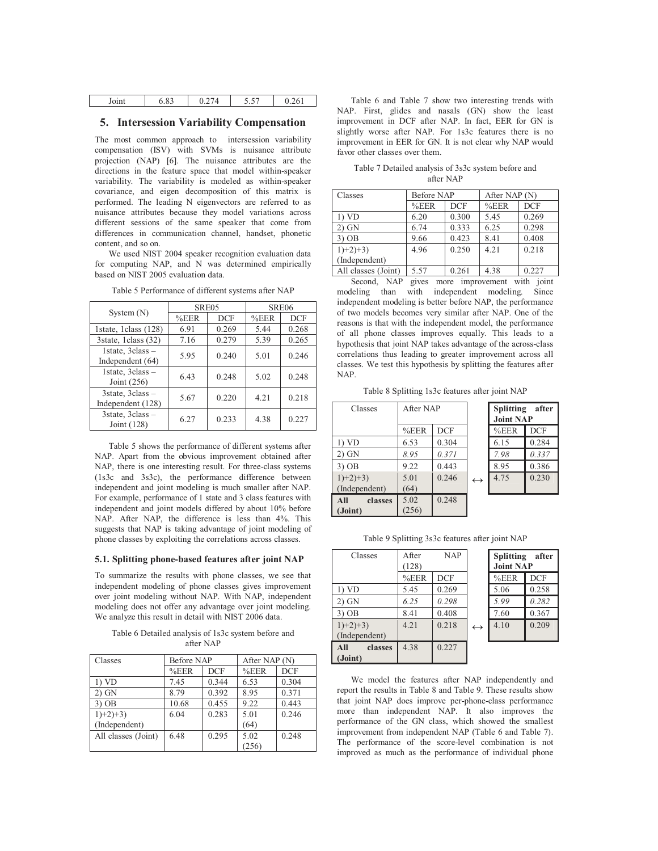| Joint | $\Omega$<br>כ ס.י | $-$<br>ັ່ | .<br>'61 |
|-------|-------------------|-----------|----------|
|       |                   |           |          |

## **5. Intersession Variability Compensation**

The most common approach to intersession variability compensation (ISV) with SVMs is nuisance attribute projection (NAP) [6]. The nuisance attributes are the directions in the feature space that model within-speaker variability. The variability is modeled as within-speaker covariance, and eigen decomposition of this matrix is performed. The leading N eigenvectors are referred to as nuisance attributes because they model variations across different sessions of the same speaker that come from differences in communication channel, handset, phonetic content, and so on.

We used NIST 2004 speaker recognition evaluation data for computing NAP, and N was determined empirically based on NIST 2005 evaluation data.

|                                       | SRE <sub>05</sub> |            | SRE <sub>06</sub> |            |
|---------------------------------------|-------------------|------------|-------------------|------------|
| System $(N)$                          | %EER              | <b>DCF</b> | %EER              | <b>DCF</b> |
| 1state, 1 class (128)                 | 6.91              | 0.269      | 5.44              | 0.268      |
| 3state, 1class (32)                   | 7.16              | 0.279      | 5.39              | 0.265      |
| 1state, 3class -<br>Independent (64)  | 5.95              | 0.240      | 5.01              | 0.246      |
| 1state, 3class -<br>Joint $(256)$     | 6.43              | 0.248      | 5.02              | 0.248      |
| 3state, 3class -<br>Independent (128) | 5.67              | 0.220      | 4.21              | 0.218      |
| 3state, 3class -<br>Joint (128)       | 6.27              | 0.233      | 4.38              | 0.227      |

Table 5 Performance of different systems after NAP

Table 5 shows the performance of different systems after NAP. Apart from the obvious improvement obtained after NAP, there is one interesting result. For three-class systems (1s3c and 3s3c), the performance difference between independent and joint modeling is much smaller after NAP. For example, performance of 1 state and 3 class features with independent and joint models differed by about 10% before NAP. After NAP, the difference is less than 4%. This suggests that NAP is taking advantage of joint modeling of phone classes by exploiting the correlations across classes.

#### **5.1. Splitting phone-based features after joint NAP**

To summarize the results with phone classes, we see that independent modeling of phone classes gives improvement over joint modeling without NAP. With NAP, independent modeling does not offer any advantage over joint modeling. We analyze this result in detail with NIST 2006 data.

Table 6 Detailed analysis of 1s3c system before and after NAP

| Classes             | Before NAP         |       | After NAP (N) |            |
|---------------------|--------------------|-------|---------------|------------|
|                     | %EER<br><b>DCF</b> |       | %EER          | <b>DCF</b> |
| $1)$ VD             | 7.45               | 0.344 | 6.53          | 0.304      |
| $2)$ GN             | 8.79               | 0.392 | 8.95          | 0.371      |
| $3)$ OB             | 10.68              | 0.455 | 9.22          | 0.443      |
| $1)+2+3$            | 6.04               | 0.283 | 5.01          | 0.246      |
| (Independent)       |                    |       | (64)          |            |
| All classes (Joint) | 6.48               | 0.295 | 5.02          | 0.248      |
|                     |                    |       | (256)         |            |

Table 6 and Table 7 show two interesting trends with NAP. First, glides and nasals (GN) show the least improvement in DCF after NAP. In fact, EER for GN is slightly worse after NAP. For 1s3c features there is no improvement in EER for GN. It is not clear why NAP would favor other classes over them.

Table 7 Detailed analysis of 3s3c system before and after NAP

| Classes             | Before NAP |            | After NAP (N) |            |  |
|---------------------|------------|------------|---------------|------------|--|
|                     | %EER       | <b>DCF</b> | %EER          | <b>DCF</b> |  |
| 1) VD               | 6.20       | 0.300      | 5.45          | 0.269      |  |
| $2)$ GN             | 6.74       | 0.333      | 6.25          | 0.298      |  |
| $3)$ OB             | 9.66       | 0.423      | 8.41          | 0.408      |  |
| $1)+2+3$            | 4.96       | 0.250      | 4 2 1         | 0.218      |  |
| (Independent)       |            |            |               |            |  |
| All classes (Joint) | 5.57       | 0.261      | 4.38          | 0.227      |  |

Second, NAP gives more improvement with joint modeling than with independent modeling. Since independent modeling is better before NAP, the performance of two models becomes very similar after NAP. One of the reasons is that with the independent model, the performance of all phone classes improves equally. This leads to a hypothesis that joint NAP takes advantage of the across-class correlations thus leading to greater improvement across all classes. We test this hypothesis by splitting the features after NAP.

Table 8 Splitting 1s3c features after joint NAP

| Classes                      | After NAP    |            |                   | <b>Splitting</b><br><b>Joint NAP</b> | after      |
|------------------------------|--------------|------------|-------------------|--------------------------------------|------------|
|                              | %EER         | <b>DCF</b> |                   | %EER                                 | <b>DCF</b> |
| 1) VD                        | 6.53         | 0.304      |                   | 6.15                                 | 0.284      |
| $2)$ GN                      | 8.95         | 0.371      |                   | 7.98                                 | 0.337      |
| $3)$ OB                      | 9.22         | 0.443      |                   | 8.95                                 | 0.386      |
| $1)+2)+3$ )<br>(Independent) | 5.01<br>(64) | 0.246      | $\leftrightarrow$ | 4.75                                 | 0.230      |
| All<br>classes<br>(Joint)    | 5.02<br>256) | 0.248      |                   |                                      |            |

Table 9 Splitting 3s3c features after joint NAP

| Classes          | After | <b>NAP</b> |                   | <b>Splitting</b> | after      |
|------------------|-------|------------|-------------------|------------------|------------|
|                  | (128) |            |                   | <b>Joint NAP</b> |            |
|                  | %EER  | <b>DCF</b> |                   | %EER             | <b>DCF</b> |
| 1) <sub>VD</sub> | 5.45  | 0.269      |                   | 5.06             | 0.258      |
| $2)$ GN          | 6.25  | 0.298      |                   | 5.99             | 0.282      |
| $3)$ OB          | 8.41  | 0.408      |                   | 7.60             | 0.367      |
| $1)+2+3$         | 4.21  | 0.218      | $\leftrightarrow$ | 4.10             | 0.209      |
| (Independent)    |       |            |                   |                  |            |
| All<br>classes   | 4.38  | 0.227      |                   |                  |            |
| (Joint)          |       |            |                   |                  |            |

We model the features after NAP independently and report the results in Table 8 and Table 9. These results show that joint NAP does improve per-phone-class performance more than independent NAP. It also improves the performance of the GN class, which showed the smallest improvement from independent NAP (Table 6 and Table 7). The performance of the score-level combination is not improved as much as the performance of individual phone